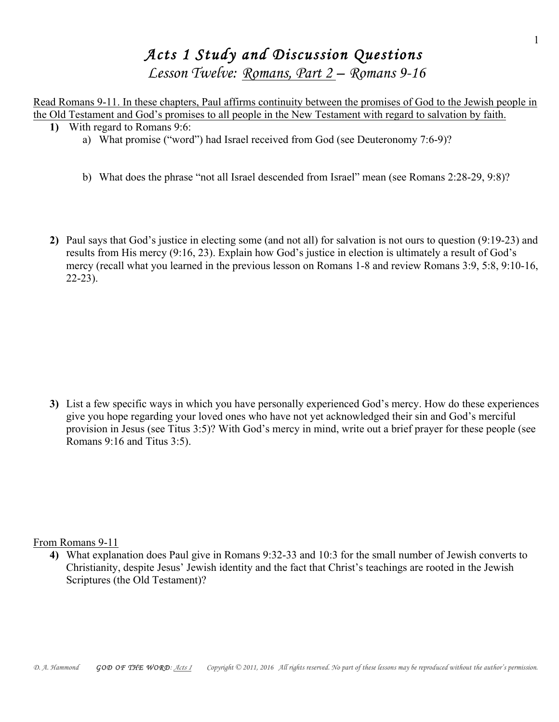## *Acts 1 Study and Discussion Questions Lesson Twelve: Romans, Part 2 – Romans 9-16*

Read Romans 9-11. In these chapters, Paul affirms continuity between the promises of God to the Jewish people in the Old Testament and God's promises to all people in the New Testament with regard to salvation by faith. **1)** With regard to Romans 9:6:

- a) What promise ("word") had Israel received from God (see Deuteronomy 7:6-9)?
- b) What does the phrase "not all Israel descended from Israel" mean (see Romans 2:28-29, 9:8)?
- **2)** Paul says that God's justice in electing some (and not all) for salvation is not ours to question (9:19-23) and results from His mercy (9:16, 23). Explain how God's justice in election is ultimately a result of God's mercy (recall what you learned in the previous lesson on Romans 1-8 and review Romans 3:9, 5:8, 9:10-16, 22-23).

**3)** List a few specific ways in which you have personally experienced God's mercy. How do these experiences give you hope regarding your loved ones who have not yet acknowledged their sin and God's merciful provision in Jesus (see Titus 3:5)? With God's mercy in mind, write out a brief prayer for these people (see Romans 9:16 and Titus 3:5).

From Romans 9-11

**4)** What explanation does Paul give in Romans 9:32-33 and 10:3 for the small number of Jewish converts to Christianity, despite Jesus' Jewish identity and the fact that Christ's teachings are rooted in the Jewish Scriptures (the Old Testament)?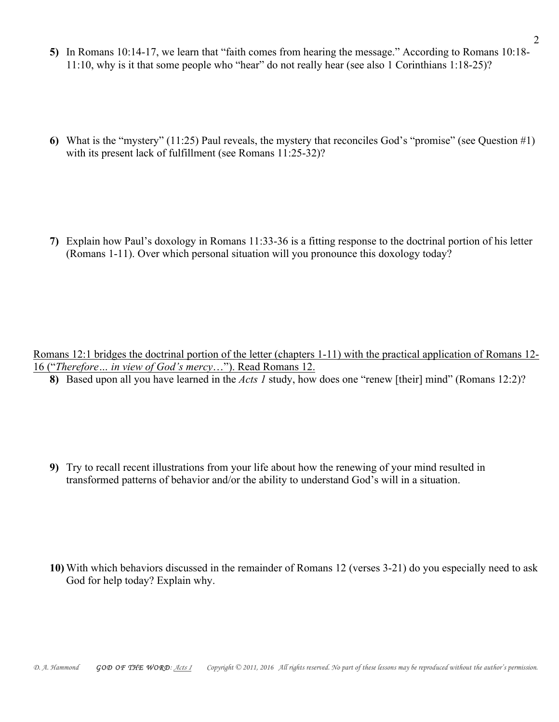- **5)** In Romans 10:14-17, we learn that "faith comes from hearing the message." According to Romans 10:18- 11:10, why is it that some people who "hear" do not really hear (see also 1 Corinthians 1:18-25)?
- **6)** What is the "mystery" (11:25) Paul reveals, the mystery that reconciles God's "promise" (see Question #1) with its present lack of fulfillment (see Romans 11:25-32)?

**7)** Explain how Paul's doxology in Romans 11:33-36 is a fitting response to the doctrinal portion of his letter (Romans 1-11). Over which personal situation will you pronounce this doxology today?

Romans 12:1 bridges the doctrinal portion of the letter (chapters 1-11) with the practical application of Romans 12- 16 ("*Therefore… in view of God's mercy*…"). Read Romans 12.

**8)** Based upon all you have learned in the *Acts 1* study, how does one "renew [their] mind" (Romans 12:2)?

**9)** Try to recall recent illustrations from your life about how the renewing of your mind resulted in transformed patterns of behavior and/or the ability to understand God's will in a situation.

**10)** With which behaviors discussed in the remainder of Romans 12 (verses 3-21) do you especially need to ask God for help today? Explain why.